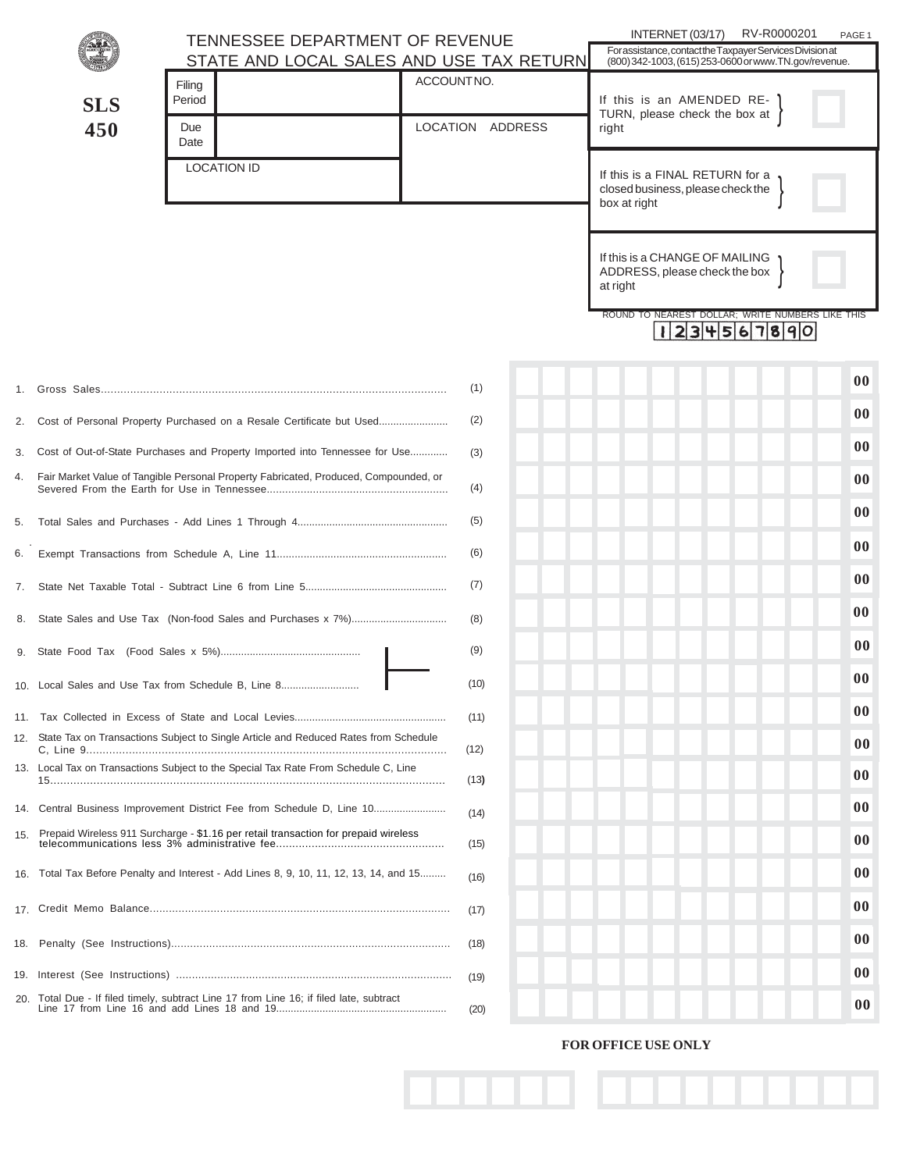| <b>SLS</b><br>450 |  | TENNESSEE DEPARTMENT OF REVENUE                                                         | INTERNET (03/17)<br>RV-R0000201<br>PAGE 1                                                                          |                                                                                      |
|-------------------|--|-----------------------------------------------------------------------------------------|--------------------------------------------------------------------------------------------------------------------|--------------------------------------------------------------------------------------|
|                   |  | STATE AND LOCAL SALES AND USE TAX RETURN                                                | For assistance, contact the Taxpayer Services Division at<br>(800) 342-1003, (615) 253-0600 or www.TN.gov/revenue. |                                                                                      |
|                   |  | Filing<br>Period<br>Due<br>Date                                                         | ACCOUNTNO.<br>LOCATION ADDRESS                                                                                     | If this is an AMENDED RE-<br>TURN, please check the box at<br>right                  |
|                   |  | <b>LOCATION ID</b>                                                                      |                                                                                                                    | If this is a FINAL RETURN for a<br>closed business, please check the<br>box at right |
|                   |  |                                                                                         |                                                                                                                    | If this is a CHANGE OF MAILING<br>ADDRESS, please check the box<br>at right          |
|                   |  |                                                                                         |                                                                                                                    | ROUND TO NEAREST DOLLAR: WRITE NUMBERS LIKE THIS<br>$ 23 $ 4567890                   |
| 1.                |  |                                                                                         | (1)                                                                                                                | $00\,$                                                                               |
| 2.                |  | Cost of Personal Property Purchased on a Resale Certificate but Used                    | (2)                                                                                                                | $00\,$                                                                               |
| 3.                |  | Cost of Out-of-State Purchases and Property Imported into Tennessee for Use             | (3)                                                                                                                | 00                                                                                   |
|                   |  | 4. Fair Market Value of Tangible Personal Property Fabricated, Produced, Compounded, or | (4)                                                                                                                | 00                                                                                   |
| 5.                |  |                                                                                         | (5)                                                                                                                | 00                                                                                   |
| 6.                |  |                                                                                         | (6)                                                                                                                | 00                                                                                   |
| 7.                |  |                                                                                         | (7)                                                                                                                | 00                                                                                   |
| 8.                |  |                                                                                         | (8)                                                                                                                | 00                                                                                   |
|                   |  |                                                                                         | (9)                                                                                                                | $00\,$                                                                               |
|                   |  | 10. Local Sales and Use Tax from Schedule B, Line 8                                     | (10)                                                                                                               | 00                                                                                   |
|                   |  |                                                                                         | (11)                                                                                                               | 00                                                                                   |
|                   |  | 12. State Tax on Transactions Subject to Single Article and Reduced Rates from Schedule | (12)                                                                                                               | 00                                                                                   |
|                   |  | 13. Local Tax on Transactions Subject to the Special Tax Rate From Schedule C, Line     | (13)                                                                                                               | 00                                                                                   |
|                   |  | 14. Central Business Improvement District Fee from Schedule D, Line 10                  | (14)                                                                                                               | 00                                                                                   |
| 15.               |  | Prepaid Wireless 911 Surcharge - \$1.16 per retail transaction for prepaid wireless     | (15)                                                                                                               | $00\,$                                                                               |
|                   |  | 16. Total Tax Before Penalty and Interest - Add Lines 8, 9, 10, 11, 12, 13, 14, and 15  | (16)                                                                                                               | 00                                                                                   |
|                   |  |                                                                                         | (17)                                                                                                               | 00                                                                                   |
|                   |  |                                                                                         | (18)                                                                                                               | 00                                                                                   |
|                   |  |                                                                                         | (19)                                                                                                               | $00\,$                                                                               |
|                   |  | 20. Total Due - If filed timely, subtract Line 17 from Line 16; if filed late, subtract | (20)                                                                                                               | 00 <sup>°</sup>                                                                      |

## **FOR OFFICE USE ONLY**

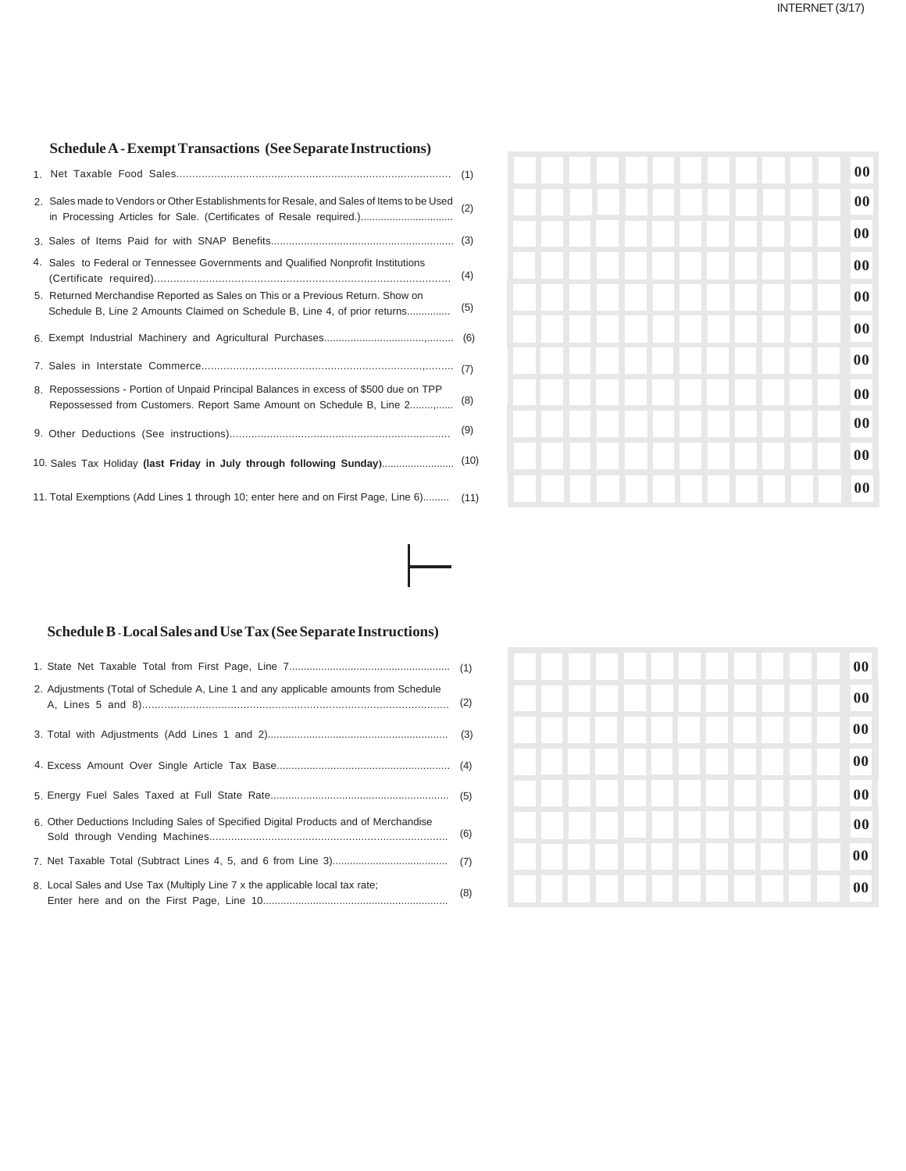## **Schedule A - Exempt Transactions (See Separate Instructions)**

|                                                                                          | 2. Sales made to Vendors or Other Establishments for Resale, and Sales of Items to be Used<br>in Processing Articles for Sale. (Certificates of Resale required.) | (2)  |  |  |
|------------------------------------------------------------------------------------------|-------------------------------------------------------------------------------------------------------------------------------------------------------------------|------|--|--|
|                                                                                          |                                                                                                                                                                   |      |  |  |
|                                                                                          | 4. Sales to Federal or Tennessee Governments and Qualified Nonprofit Institutions                                                                                 | (4)  |  |  |
|                                                                                          | 5. Returned Merchandise Reported as Sales on This or a Previous Return. Show on<br>Schedule B, Line 2 Amounts Claimed on Schedule B, Line 4, of prior returns     | (5)  |  |  |
|                                                                                          |                                                                                                                                                                   |      |  |  |
|                                                                                          |                                                                                                                                                                   |      |  |  |
|                                                                                          | 8. Repossessions - Portion of Unpaid Principal Balances in excess of \$500 due on TPP                                                                             | (8)  |  |  |
|                                                                                          |                                                                                                                                                                   | (9)  |  |  |
|                                                                                          | 10. Sales Tax Holiday (last Friday in July through following Sunday)                                                                                              | (10) |  |  |
| 11. Total Exemptions (Add Lines 1 through 10; enter here and on First Page, Line 6) (11) |                                                                                                                                                                   |      |  |  |

|  | $\bf{00}$ |
|--|-----------|
|  | $\bf{00}$ |
|  | $\bf{00}$ |
|  | $\bf{00}$ |
|  | $\bf{00}$ |
|  | $\bf{00}$ |
|  | $\bf{00}$ |
|  | $\bf{00}$ |
|  | $\bf{00}$ |
|  | $\bf{00}$ |
|  | $\bf{00}$ |

## **Schedule B - Local Sales and Use Tax (See Separate Instructions)**

| 2. Adjustments (Total of Schedule A, Line 1 and any applicable amounts from Schedule | (2) |
|--------------------------------------------------------------------------------------|-----|
|                                                                                      |     |
|                                                                                      |     |
|                                                                                      |     |
| 6. Other Deductions Including Sales of Specified Digital Products and of Merchandise | (6) |
|                                                                                      |     |
| 8. Local Sales and Use Tax (Multiply Line 7 x the applicable local tax rate;         | (8) |

|  | 00                                  |
|--|-------------------------------------|
|  | $\overline{\mathbf{00}}$            |
|  | $\overline{\overline{\mathbf{00}}}$ |
|  | $\overline{\mathbf{00}}$            |
|  | $\overline{\mathbf{00}}$            |
|  | $\overline{\mathbf{00}}$            |
|  | $\bf{00}$                           |
|  | $\overline{\mathbf{00}}$            |